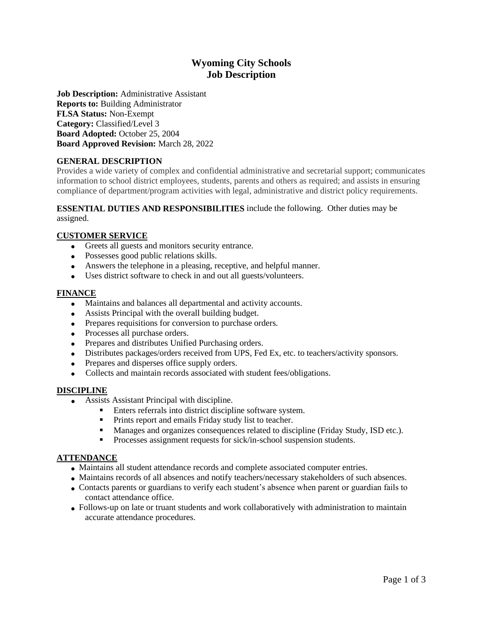# **Wyoming City Schools Job Description**

**Job Description:** Administrative Assistant **Reports to:** Building Administrator **FLSA Status:** Non-Exempt **Category:** Classified/Level 3 **Board Adopted:** October 25, 2004 **Board Approved Revision:** March 28, 2022

# **GENERAL DESCRIPTION**

Provides a wide variety of complex and confidential administrative and secretarial support; communicates information to school district employees, students, parents and others as required; and assists in ensuring compliance of department/program activities with legal, administrative and district policy requirements.

#### **ESSENTIAL DUTIES AND RESPONSIBILITIES** include the following. Other duties may be assigned.

## **CUSTOMER SERVICE**

- Greets all guests and monitors security entrance.
- Possesses good public relations skills.
- Answers the telephone in a pleasing, receptive, and helpful manner.
- Uses district software to check in and out all guests/volunteers.

## **FINANCE**

- Maintains and balances all departmental and activity accounts.
- Assists Principal with the overall building budget.
- Prepares requisitions for conversion to purchase orders.
- Processes all purchase orders.
- Prepares and distributes Unified Purchasing orders.
- Distributes packages/orders received from UPS, Fed Ex, etc. to teachers/activity sponsors.
- Prepares and disperses office supply orders.
- Collects and maintain records associated with student fees/obligations.

## **DISCIPLINE**

- Assists Assistant Principal with discipline.
	- Enters referrals into district discipline software system.
	- **•** Prints report and emails Friday study list to teacher.
	- Manages and organizes consequences related to discipline (Friday Study, ISD etc.).
	- Processes assignment requests for sick/in-school suspension students.

## **ATTENDANCE**

- Maintains all student attendance records and complete associated computer entries.
- Maintains records of all absences and notify teachers/necessary stakeholders of such absences.
- Contacts parents or guardians to verify each student's absence when parent or guardian fails to contact attendance office.
- Follows-up on late or truant students and work collaboratively with administration to maintain accurate attendance procedures.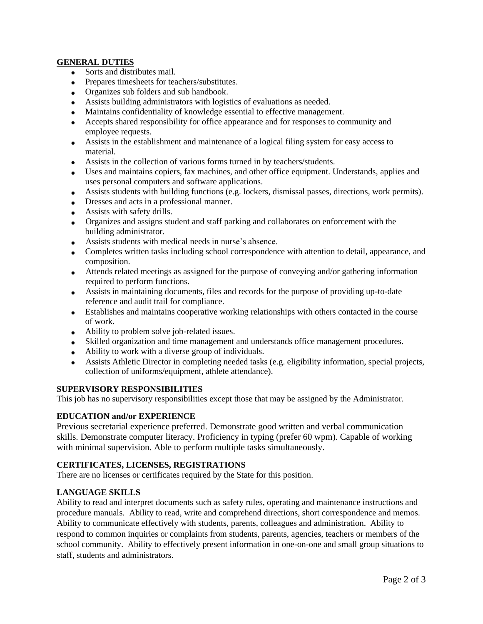## **GENERAL DUTIES**

- Sorts and distributes mail.
- Prepares timesheets for teachers/substitutes.
- Organizes sub folders and sub handbook.
- Assists building administrators with logistics of evaluations as needed.
- Maintains confidentiality of knowledge essential to effective management.
- Accepts shared responsibility for office appearance and for responses to community and employee requests.
- Assists in the establishment and maintenance of a logical filing system for easy access to material.
- Assists in the collection of various forms turned in by teachers/students.
- Uses and maintains copiers, fax machines, and other office equipment. Understands, applies and uses personal computers and software applications.
- Assists students with building functions (e.g. lockers, dismissal passes, directions, work permits).
- Dresses and acts in a professional manner.
- Assists with safety drills.
- Organizes and assigns student and staff parking and collaborates on enforcement with the building administrator.
- Assists students with medical needs in nurse's absence.
- Completes written tasks including school correspondence with attention to detail, appearance, and composition.
- Attends related meetings as assigned for the purpose of conveying and/or gathering information required to perform functions.
- Assists in maintaining documents, files and records for the purpose of providing up-to-date reference and audit trail for compliance.
- Establishes and maintains cooperative working relationships with others contacted in the course of work.
- Ability to problem solve job-related issues.
- Skilled organization and time management and understands office management procedures.
- Ability to work with a diverse group of individuals.
- Assists Athletic Director in completing needed tasks (e.g. eligibility information, special projects, collection of uniforms/equipment, athlete attendance).

## **SUPERVISORY RESPONSIBILITIES**

This job has no supervisory responsibilities except those that may be assigned by the Administrator.

## **EDUCATION and/or EXPERIENCE**

Previous secretarial experience preferred. Demonstrate good written and verbal communication skills. Demonstrate computer literacy. Proficiency in typing (prefer 60 wpm). Capable of working with minimal supervision. Able to perform multiple tasks simultaneously.

## **CERTIFICATES, LICENSES, REGISTRATIONS**

There are no licenses or certificates required by the State for this position.

## **LANGUAGE SKILLS**

Ability to read and interpret documents such as safety rules, operating and maintenance instructions and procedure manuals. Ability to read, write and comprehend directions, short correspondence and memos. Ability to communicate effectively with students, parents, colleagues and administration. Ability to respond to common inquiries or complaints from students, parents, agencies, teachers or members of the school community. Ability to effectively present information in one-on-one and small group situations to staff, students and administrators.